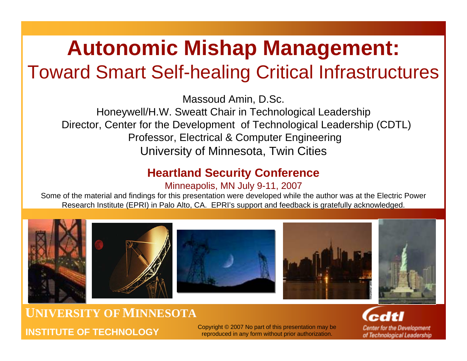## **Autonomic Mishap Management:** Toward Smart Self-healing Critical Infrastructures

Massoud Amin, D.Sc.

Honeywell/H.W. Sweatt Chair in Technological Leadership Director, Center for the Development of Technological Leadership (CDTL) Professor, Electrical & Computer Engineering University of Minnesota, Twin Cities

### **Heartland Security Conference**

#### Minneapolis, MN July 9-11, 2007

Some of the material and findings for this presentation were developed while the author was at the Electric Power Research Institute (EPRI) in Palo Alto, CA. EPRI's support and feedback is gratefully acknowledged.



### **UNIVERSITY OFMINNESOTAINSTITUTE OF TECHNOLOGY**

Copyright © 2007 No part of this presentation may be reproduced in any form without prior authorization.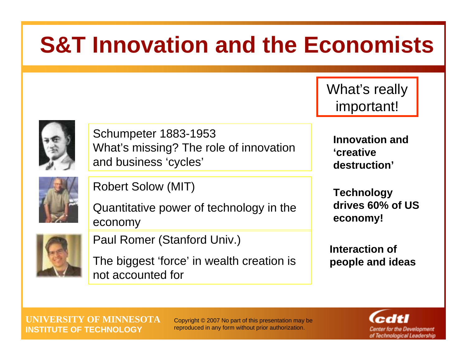# **S&T Innovation and the Economists**

What's really important!



Schumpeter 1883-1953 What's missing? The role of innovation and business 'cycles'



Robert Solow (MIT)

Quantitative power of technology in the economy

Paul Romer (Stanford Univ.)

The biggest 'force' in wealth creation is not accounted for

**Innovation and 'creative destruction'**

**Technology drives 60% of US economy!**

**Interaction of people and ideas**

**UNIVERSITY OF MINNESOTAINSTITUTE OF TECHNOLOGY**

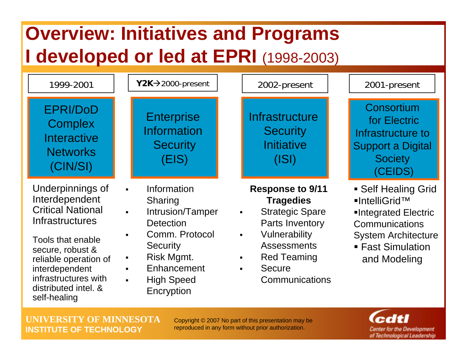## **Overview: Initiatives and Programs I developed or led at EPRI** (1998-2003)



**UNIVERSITY OF MINNESOTAINSTITUTE OF TECHNOLOGY**

Copyright © 2007 No part of this presentation may be reproduced in any form without prior authorization.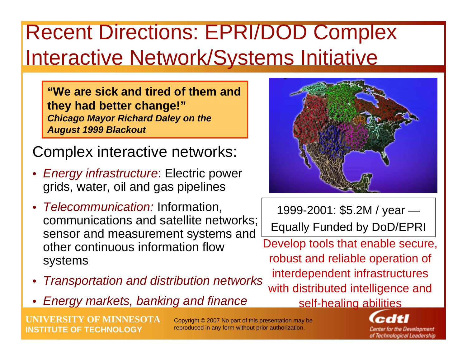## Recent Directions: EPRI/DOD Complex Interactive Network/Systems Initiative

**"We are sick and tired of them and they had better change!"** *Chicago Mayor Richard Daley on the August 1999 Blackout* 

Complex interactive networks:

- • *Energy infrastructure*: Electric power grids, water, oil and gas pipelines
- *Telecommunication:* Information, communications and satellite networks; sensor and measurement systems and other continuous information flow systems
- •*Transportation and distribution networks*
- •*Energy markets, banking and finance*

**OF MINNESOTA INSTITUTE OF TECHNOLOGY**

Copyright © 2007 No part of this presentation may be reproduced in any form without prior authorization.



1999-2001: \$5.2M / year — Equally Funded by DoD/EPRI

Develop tools that enable secure, robust and reliable operation of interdependent infrastructures with distributed intelligence and self-healing abilities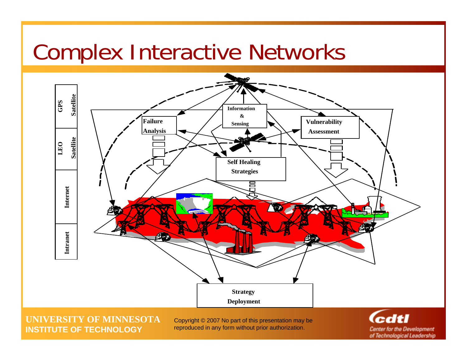## Complex Interactive Networks



**UNIVERSITY OF MINNESOTAINSTITUTE OF TECHNOLOGY**

Copyright © 2007 No part of this presentation may be reproduced in any form without prior authorization.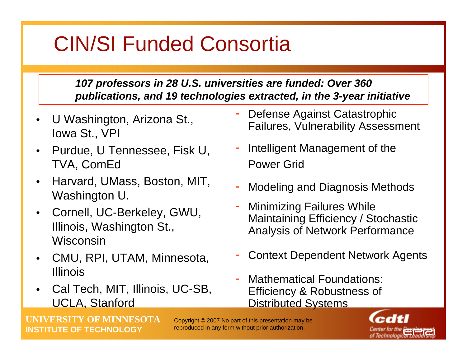## CIN/SI Funded Consortia

### *107 professors in 28 U.S. universities are funded: Over 360 publications, and 19 technologies extracted, in the 3-year initiative*

- • U Washington, Arizona St., Iowa St., VPI
- Purdue, U Tennessee, Fisk U, TVA, ComEd
- Harvard, UMass, Boston, MIT, Washington U.
- • Cornell, UC-Berkeley, GWU, Illinois, Washington St., Wisconsin
- CMU, RPI, UTAM, Minnesota, Illinois
- • Cal Tech, MIT, Illinois, UC-SB, UCLA, Stanford
- - Defense Against Catastrophic Failures, Vulnerability Assessment
- - Intelligent Management of the Power Grid
- -Modeling and Diagnosis Methods
- - Minimizing Failures While Maintaining Efficiency / Stochastic Analysis of Network Performance
- -Context Dependent Network Agents
- - Mathematical Foundations: Efficiency & Robustness of Distributed Systems

**UOF MINNESOTA INSTITUTE OF TECHNOLOGY**

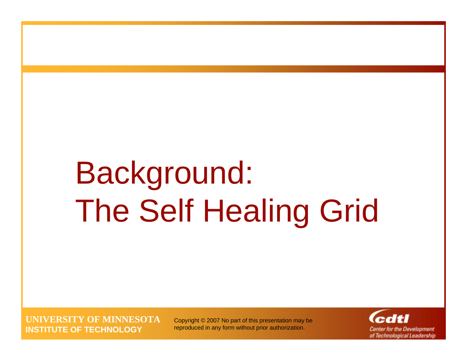# Background: The Self Healing Grid

**UNIVERSITY OF MINNESOTAINSTITUTE OF TECHNOLOGY**

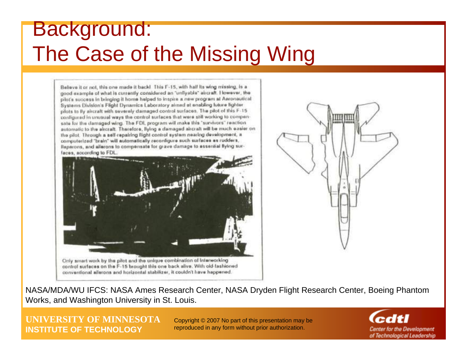## Background: The Case of the Missing Wing

Believe it or not, this one made it back! This F-15, with half its wing missing, is a good example of what is currently considered an "unliyable" aircraft. However, the pilot's success in bringing it home helped to inspire a new program at Aeronautical Systems Division's Filight Dynamics Laboratory aimed at enabling luture fighter pilots to By alreralt with severely damaged control surfaces. The pilot of this F-15 configured in unusual ways the control surfaces that were still working to compensale for the damaged wing. The FDL program will make this "survivors" reaction automatic to the alrcraft. Therefore, flying a damaged aircraft will be much easier on the pilot. Through a self-repairing flight control system nearing development, a convolterized "brain" will automatically reconfigure such surfaces as rudders, Baperons, and allerons to compensate for grave damage to essential llying surfaces, according to FDL Only smart work by the pilot and the unique combination of Interworking control surfaces on the F-15 brought this one back alive. With old-fashioned conventional allerons and horizontal stabilizer, it couldn't have happened.



NASA/MDA/WU IFCS: NASA Ames Research Center, NASA Dryden Flight Research Center, Boeing Phantom Works, and Washington University in St. Louis.

**UNIVERSITY OF MINNESOTAINSTITUTE OF TECHNOLOGY**

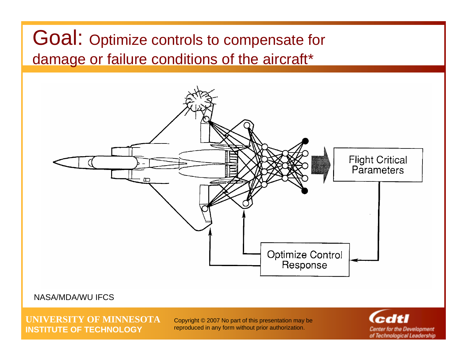### Goal: Optimize controls to compensate for damage or failure conditions of the aircraft\*



#### NASA/MDA/WU IFCS

**UNIVERSITY OF MINNESOTAINSTITUTE OF TECHNOLOGY**

Copyright © 2007 No part of this presentation may be reproduced in any form without prior authorization.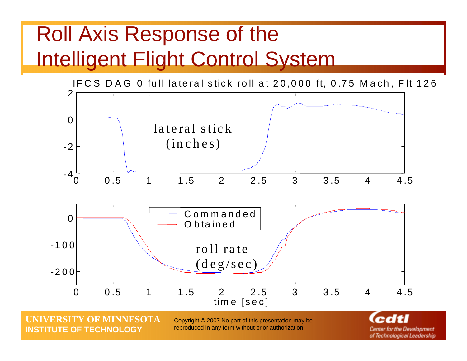## Roll Axis Response of the Intelligent Flight Control System



**OF MINNESOTA INSTITUTE OF TECHNOLOGY**

Copyright © 2007 No part of this presentation may be reproduced in any form without prior authorization.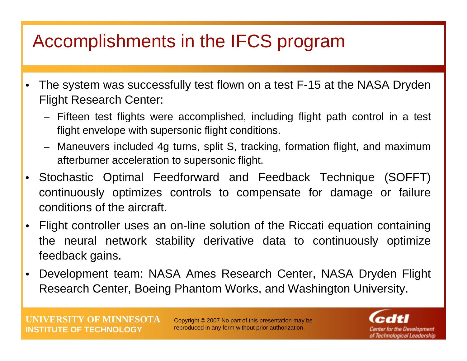## Accomplishments in the IFCS program

- • The system was successfully test flown on a test F-15 at the NASA Dryden Flight Research Center:
	- Fifteen test flights were accomplished, including flight path control in a test flight envelope with supersonic flight conditions.
	- Maneuvers included 4g turns, split S, tracking, formation flight, and maximum afterburner acceleration to supersonic flight.
- Stochastic Optimal Feedforward and Feedback Technique (SOFFT) continuously optimizes controls to compensate for damage or failure conditions of the aircraft.
- • Flight controller uses an on-line solution of the Riccati equation containing the neural network stability derivative data to continuously optimize feedback gains.
- $\bullet$  Development team: NASA Ames Research Center, NASA Dryden Flight Research Center, Boeing Phantom Works, and Washington University.

**UNIVERSITY OF MINNESOTAINSTITUTE OF TECHNOLOGY**

Copyright © 2007 No part of this presentation may be reproduced in any form without prior authorization.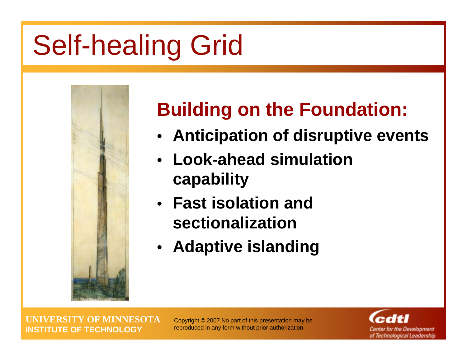# Self-healing Grid



## **Building on the Foundation:**

- **Anticipation of disruptive events**
- **Look-ahead simulation capability**
- **Fast isolation and sectionalization**
- **Adaptive islanding**

**UNIVERSITY OF MINNESOTAINSTITUTE OF TECHNOLOGY**

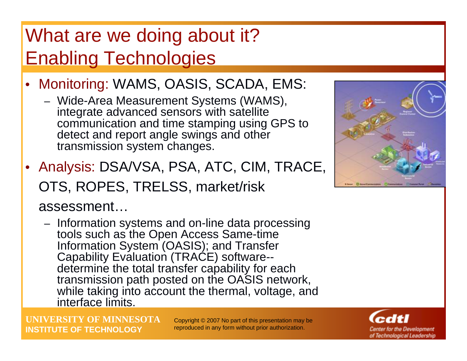## What are we doing about it? Enabling Technologies

- Monitoring: WAMS, OASIS, SCADA, EMS:
	- Wide-Area Measurement Systems (WAMS), integrate advanced sensors with satellite communication and time stamping using GPS to detect and report angle swings and other transmission system changes.
- Analysis: DSA/VSA, PSA, ATC, CIM, TRACE, OTS, ROPES, TRELSS, market/risk

### assessment…

- Information systems and on-line data processing tools such as the Open Access Same-time Information System (OASIS); and Transfer Capability Evaluation (TRACE) software- determine the total transfer capability for each transmission path posted on the OASIS network, while taking into account the thermal, voltage, and interface limits.

**UNIVERSITY OF MINNESOTAINSTITUTE OF TECHNOLOGY**



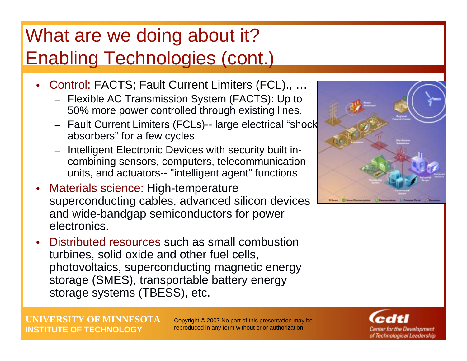## What are we doing about it? Enabling Technologies (cont.)

- • Control: FACTS; Fault Current Limiters (FCL)., …
	- Flexible AC Transmission System (FACTS): Up to 50% more power controlled through existing lines.
	- Fault Current Limiters (FCLs)-- large electrical "shock absorbers" for a few cycles
	- Intelligent Electronic Devices with security built incombining sensors, computers, telecommunication units, and actuators-- "intelligent agent" functions
- • Materials science: High-temperature superconducting cables, advanced silicon devices and wide-bandgap semiconductors for power electronics.
- • Distributed resources such as small combustion turbines, solid oxide and other fuel cells, photovoltaics, superconducting magnetic energy storage (SMES), transportable battery energy storage systems (TBESS), etc.



**UNIVERSITY OF MINNESOTAINSTITUTE OF TECHNOLOGY**

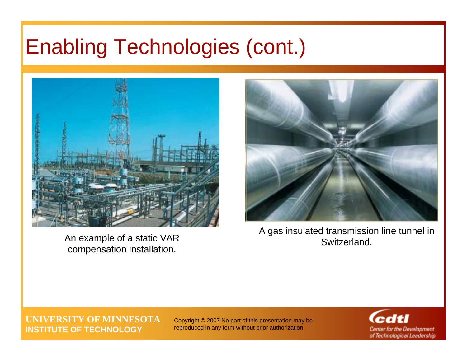## Enabling Technologies (cont.)



An example of a static VAR Switzerland. compensation installation.



A gas insulated transmission line tunnel in

#### **UNIVERSITY OF MINNESOTAINSTITUTE OF TECHNOLOGY**

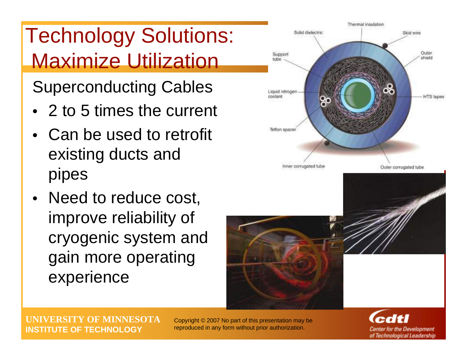## Technology Solutions: Maximize Utilization

Superconducting Cables

- 2 to 5 times the current
- Can be used to retrofit existing ducts and pipes
- Need to reduce cost, improve reliability of cryogenic system and gain more operating experience



Center for the Development of Technological Leadership

**UNIVERSITY OF MINNESOTAINSTITUTE OF TECHNOLOGY**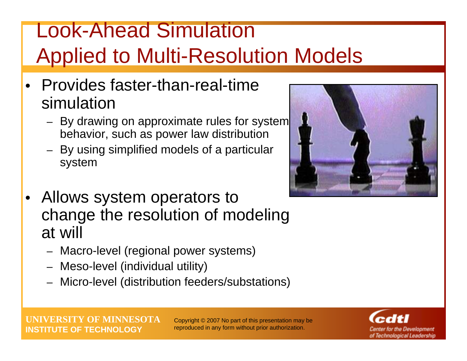## Look-Ahead Simulation Applied to Multi-Resolution Models

- Provides faster-than-real-time simulation
	- By drawing on approximate rules for system behavior, such as power law distribution
	- – By using simplified models of a particular system
- • Allows system operators to change the resolution of modeling at will
	- Macro-level (regional power systems)
	- Meso-level (individual utility)
	- Micro-level (distribution feeders/substations)



**UNIVERSITY OF MINNESOTAINSTITUTE OF TECHNOLOGY**

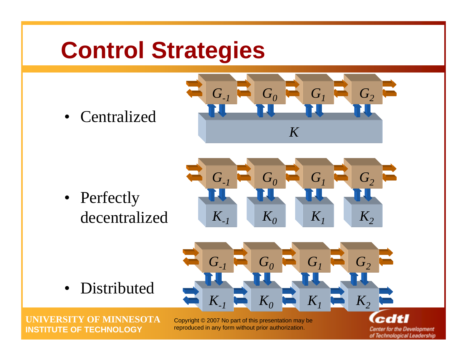# **Control Strategies**

• Centralized



• Perfectly decentralized



 $G_0$   $\blacksquare$   $G_1$ 

 $K_1$  **K**<sub>2</sub>

 $G<sub>2</sub>$ 

• Distributed

**UNIVERSITY OF MINNESOTAINSTITUTE OF TECHNOLOGY**

Copyright © 2007 No part of this presentation may be reproduced in any form without prior authorization.

*K-1*

*G-1*

*K0*

**Center for the Development** of Technological Leadership

edtl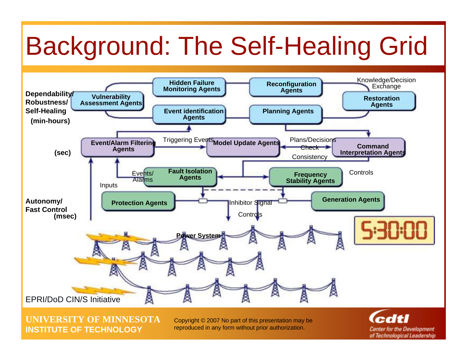# Background: The Self-Healing Grid



**UNIVERSITY OF MINNESOTAINSTITUTE OF TECHNOLOGY**

Copyright © 2007 No part of this presentation may be reproduced in any form without prior authorization.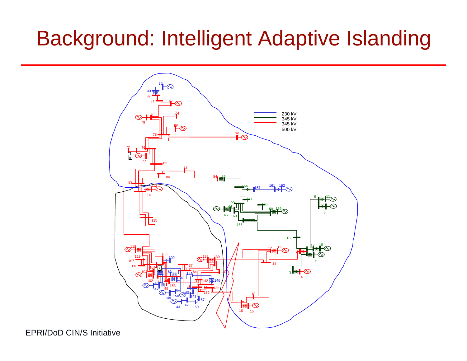## Background: Intelligent Adaptive Islanding



#### **Institute OF CIN/S Initiative**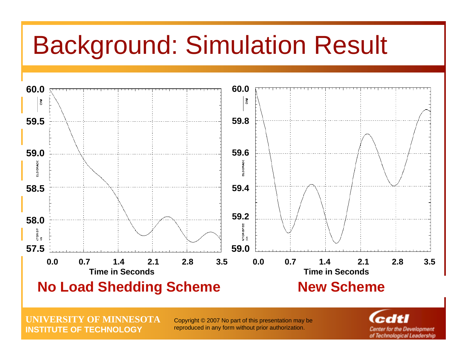# Background: Simulation Result



**UNIVERSITY OF MINNESOTAINSTITUTE OF TECHNOLOGY**

Copyright © 2007 No part of this presentation may be reproduced in any form without prior authorization.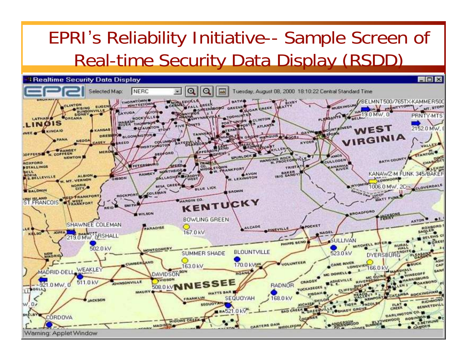## EPRI's Reliability Initiative-- Sample Screen of Real-time Security Data Display (RSDD)

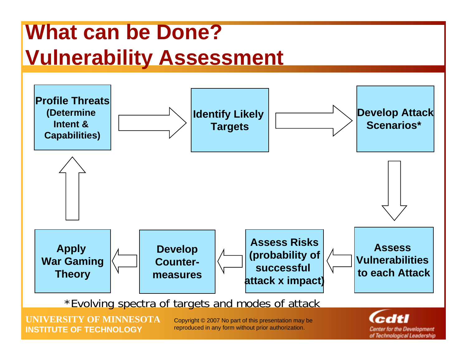## **What can be Done? Vulnerability Assessment**

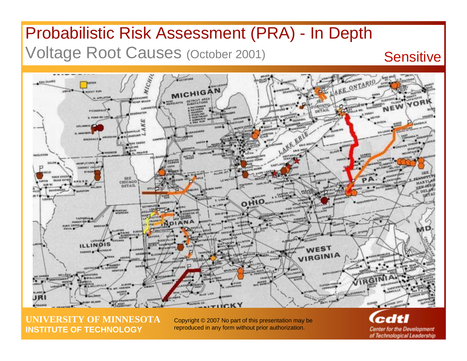### Probabilistic Risk Assessment (PRA) - In Depth Voltage Root Causes (October 2001) Sensitive



**UNIVERSITY OF MINNESOTAINSTITUTE OF TECHNOLOGY**

Copyright © 2007 No part of this presentation may be reproduced in any form without prior authorization.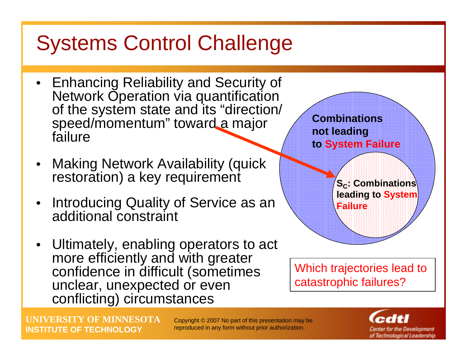## Systems Control Challenge

- Enhancing Reliability and Security of Network Operation via quantification of the system state and its "direction/ speed/momentum" toward a major failure
- Making Network Availability (quick restoration) a key requirement
- Introducing Quality of Service as an additional constraint
- Ultimately, enabling operators to act more efficiently and with greater confidence in difficult (sometimes unclear, unexpected or even conflicting) circumstances



Which trajectories lead to catastrophic failures?

**UNIVERSITY OF MINNESOTAINSTITUTE OF TECHNOLOGY**

Copyright © 2007 No part of this presentation may be reproduced in any form without prior authorization.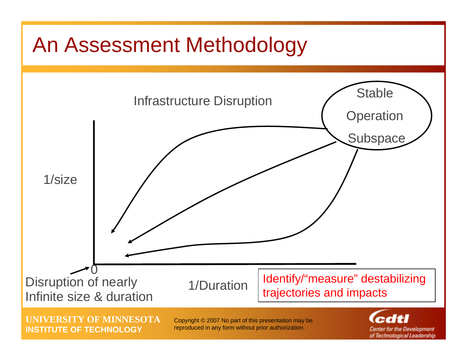## An Assessment Methodology



**UNIVERSITY OF MINNESOTAINSTITUTE OF TECHNOLOGY**

Copyright © 2007 No part of this presentation may be reproduced in any form without prior authorization.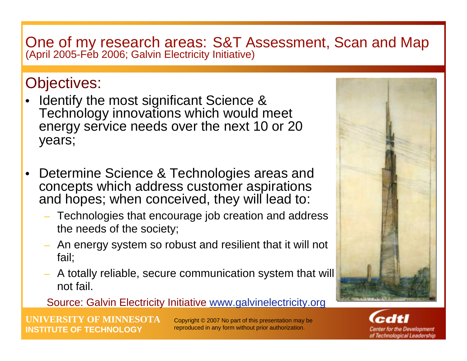# One of my research areas: S&T Assessment, Scan and Map (April 2005-Feb 2006; Galvin Electricity Initiative)

### Objectives:

- Identify the most significant Science & Technology innovations which would meet energy service needs over the next 10 or 20 years;
- • Determine Science & Technologies areas and concepts which address customer aspirations and hopes; when conceived, they will lead to:
	- Technologies that encourage job creation and address the needs of the society;
	- An energy system so robust and resilient that it will not fail;
	- A totally reliable, secure communication system that will not fail.

#### Source: Galvin Electricity Initiative [www.galvinelectricity.org](http://www.galvinelectricity.org/)

**MINNESOTA INSTITUTE OF TECHNOLOGY**



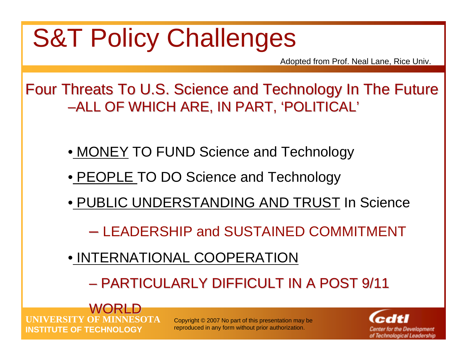# **S&T Policy Challenges**

Adopted from Prof. Neal Lane, Rice Univ.

Four Threats To U.S. Science and Technology In The Future –ALL OF WHICH ARE, IN PART, 'POLITICAL'

- MONEY TO FUND Science and Technology
- PEOPLE TO DO Science and Technology
- PUBLIC UNDERSTANDING AND TRUST In Science
	- LEADERSHIP and SUSTAINED COMMITMENT
- INTERNATIONAL COOPERATION
	- PARTICULARLY DIFFICULT IN A POST 9/11

**UNIVERSITY OF MINNESOTAINSTITUTE OF TECHNOLOGYWORLD** 

Copyright © 2007 No part of this presentation may be reproduced in any form without prior authorization.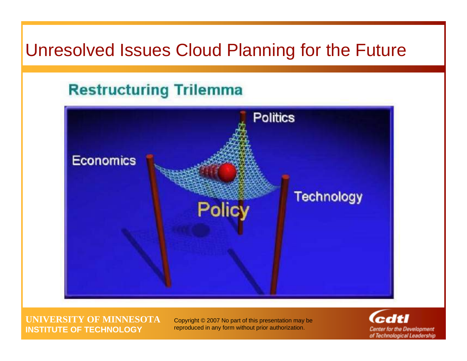### Unresolved Issues Cloud Planning for the Future

### **Restructuring Trilemma**



**UNIVERSITY OF MINNESOTAINSTITUTE OF TECHNOLOGY**

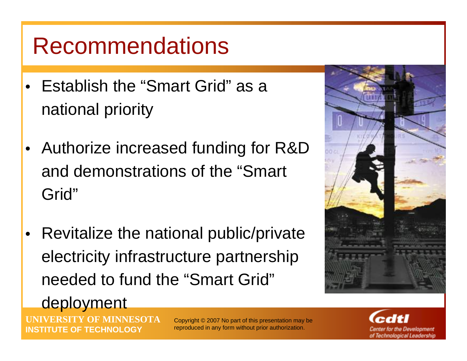## Recommendations

- Establish the "Smart Grid" as a national priority
- Authorize increased funding for R&D and demonstrations of the "Smart Grid"
- Revitalize the national public/private electricity infrastructure partnership needed to fund the "Smart Grid"

**UNIVERSITY OF MINNESOTA**

### deployment

**INSTITUTE OF TECHNOLOGY**

Copyright © 2007 No part of this presentation may be reproduced in any form without prior authorization.

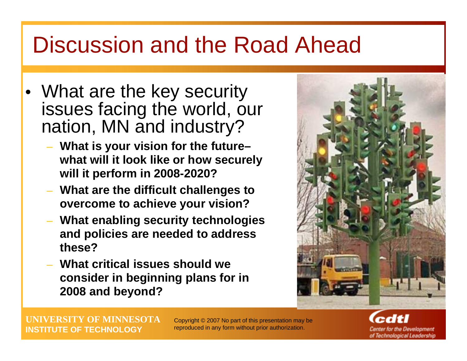## Discussion and the Road Ahead

- What are the key security issues facing the world, our nation, MN and industry?
	- **What is your vision for the future– what will it look like or how securely will it perform in 2008-2020?**
	- **What are the difficult challenges to overcome to achieve your vision?**
	- **What enabling security technologies and policies are needed to address these?**
	- **What critical issues should we consider in beginning plans for in 2008 and beyond?**



**UNIVERSITY OF MINNESOTAINSTITUTE OF TECHNOLOGY**

Copyright © 2007 No part of this presentation may be reproduced in any form without prior authorization.